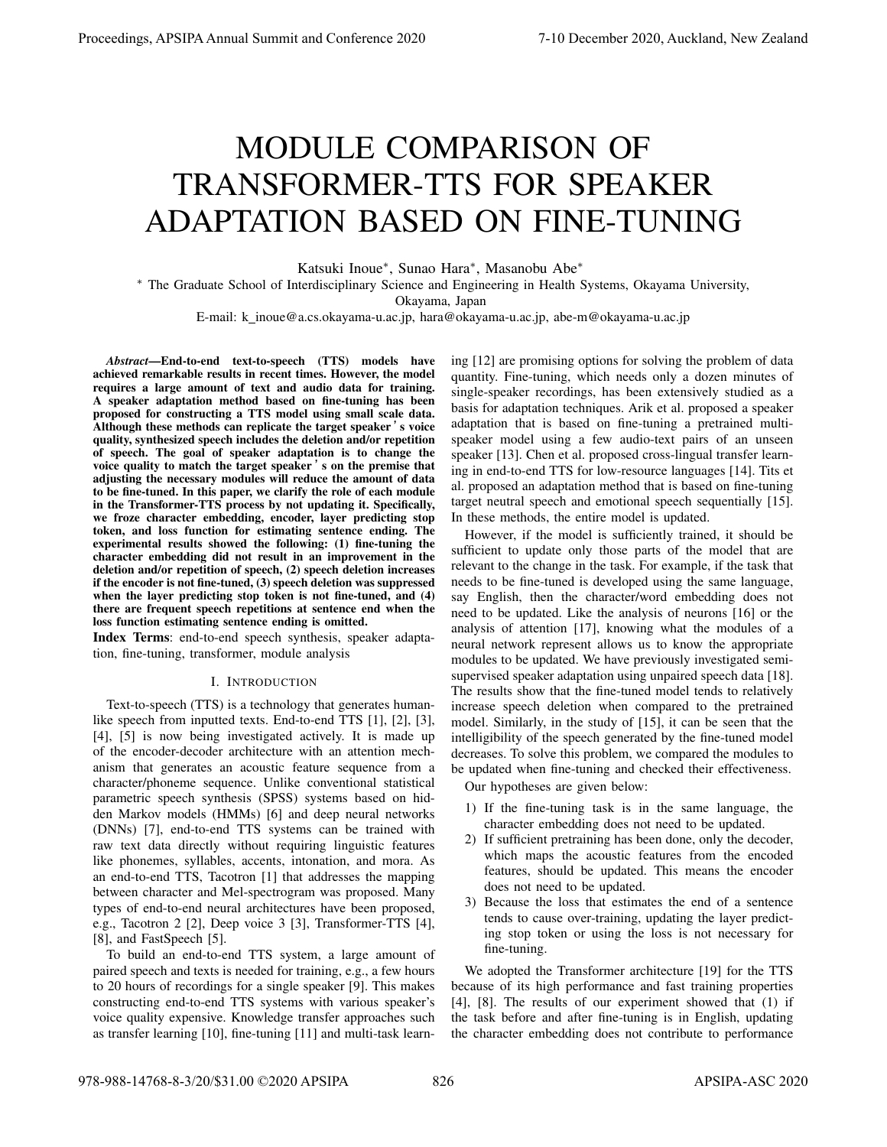# MODULE COMPARISON OF TRANSFORMER-TTS FOR SPEAKER ADAPTATION BASED ON FINE-TUNING

Katsuki Inoue*∗* , Sunao Hara*∗* , Masanobu Abe*∗*

*∗* The Graduate School of Interdisciplinary Science and Engineering in Health Systems, Okayama University,

Okayama, Japan

E-mail: k\_inoue@a.cs.okayama-u.ac.jp, hara@okayama-u.ac.jp, abe-m@okayama-u.ac.jp

*Abstract*—End-to-end text-to-speech (TTS) models have achieved remarkable results in recent times. However, the model requires a large amount of text and audio data for training. A speaker adaptation method based on fine-tuning has been proposed for constructing a TTS model using small scale data. Although these methods can replicate the target speaker 's voice quality, synthesized speech includes the deletion and/or repetition of speech. The goal of speaker adaptation is to change the voice quality to match the target speaker 's on the premise that adjusting the necessary modules will reduce the amount of data to be fine-tuned. In this paper, we clarify the role of each module in the Transformer-TTS process by not updating it. Specifically, we froze character embedding, encoder, layer predicting stop token, and loss function for estimating sentence ending. The experimental results showed the following: (1) fine-tuning the character embedding did not result in an improvement in the deletion and/or repetition of speech, (2) speech deletion increases if the encoder is not fine-tuned, (3) speech deletion was suppressed when the layer predicting stop token is not fine-tuned, and (4) there are frequent speech repetitions at sentence end when the loss function estimating sentence ending is omitted.

Index Terms: end-to-end speech synthesis, speaker adaptation, fine-tuning, transformer, module analysis

#### I. INTRODUCTION

Text-to-speech (TTS) is a technology that generates humanlike speech from inputted texts. End-to-end TTS [1], [2], [3], [4], [5] is now being investigated actively. It is made up of the encoder-decoder architecture with an attention mechanism that generates an acoustic feature sequence from a character/phoneme sequence. Unlike conventional statistical parametric speech synthesis (SPSS) systems based on hidden Markov models (HMMs) [6] and deep neural networks (DNNs) [7], end-to-end TTS systems can be trained with raw text data directly without requiring linguistic features like phonemes, syllables, accents, intonation, and mora. As an end-to-end TTS, Tacotron [1] that addresses the mapping between character and Mel-spectrogram was proposed. Many types of end-to-end neural architectures have been proposed, e.g., Tacotron 2 [2], Deep voice 3 [3], Transformer-TTS [4], [8], and FastSpeech [5].

To build an end-to-end TTS system, a large amount of paired speech and texts is needed for training, e.g., a few hours to 20 hours of recordings for a single speaker [9]. This makes constructing end-to-end TTS systems with various speaker's voice quality expensive. Knowledge transfer approaches such as transfer learning [10], fine-tuning [11] and multi-task learning [12] are promising options for solving the problem of data quantity. Fine-tuning, which needs only a dozen minutes of single-speaker recordings, has been extensively studied as a basis for adaptation techniques. Arik et al. proposed a speaker adaptation that is based on fine-tuning a pretrained multispeaker model using a few audio-text pairs of an unseen speaker [13]. Chen et al. proposed cross-lingual transfer learning in end-to-end TTS for low-resource languages [14]. Tits et al. proposed an adaptation method that is based on fine-tuning target neutral speech and emotional speech sequentially [15]. In these methods, the entire model is updated.

However, if the model is sufficiently trained, it should be sufficient to update only those parts of the model that are relevant to the change in the task. For example, if the task that needs to be fine-tuned is developed using the same language, say English, then the character/word embedding does not need to be updated. Like the analysis of neurons [16] or the analysis of attention [17], knowing what the modules of a neural network represent allows us to know the appropriate modules to be updated. We have previously investigated semisupervised speaker adaptation using unpaired speech data [18]. The results show that the fine-tuned model tends to relatively increase speech deletion when compared to the pretrained model. Similarly, in the study of [15], it can be seen that the intelligibility of the speech generated by the fine-tuned model decreases. To solve this problem, we compared the modules to be updated when fine-tuning and checked their effectiveness.

Our hypotheses are given below:

- 1) If the fine-tuning task is in the same language, the character embedding does not need to be updated.
- 2) If sufficient pretraining has been done, only the decoder, which maps the acoustic features from the encoded features, should be updated. This means the encoder does not need to be updated.
- 3) Because the loss that estimates the end of a sentence tends to cause over-training, updating the layer predicting stop token or using the loss is not necessary for fine-tuning.

We adopted the Transformer architecture [19] for the TTS because of its high performance and fast training properties [4], [8]. The results of our experiment showed that (1) if the task before and after fine-tuning is in English, updating the character embedding does not contribute to performance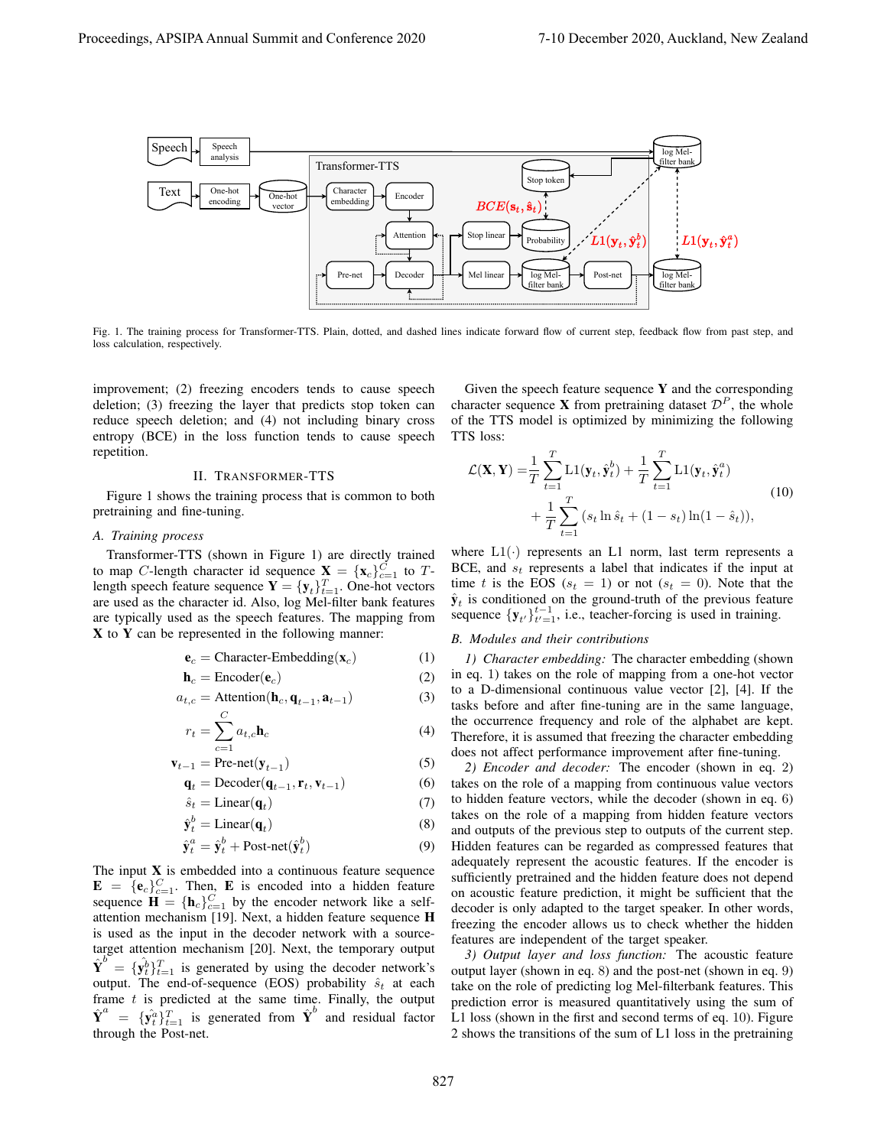

Fig. 1. The training process for Transformer-TTS. Plain, dotted, and dashed lines indicate forward flow of current step, feedback flow from past step, and loss calculation, respectively.

improvement; (2) freezing encoders tends to cause speech deletion; (3) freezing the layer that predicts stop token can reduce speech deletion; and (4) not including binary cross entropy (BCE) in the loss function tends to cause speech repetition.

# II. TRANSFORMER-TTS

Figure 1 shows the training process that is common to both pretraining and fine-tuning.

# *A. Training process*

Transformer-TTS (shown in Figure 1) are directly trained to map *C*-length character id sequence  $X = \{x_c\}_{c=1}^C$  to *T*length speech feature sequence  $\mathbf{Y} = {\{\mathbf{y}_t\}}_{t=1}^T$ . One-hot vectors are used as the character id. Also, log Mel-filter bank features are typically used as the speech features. The mapping from X to Y can be represented in the following manner:

$$
\mathbf{e}_c = \text{Character-Embedding}(\mathbf{x}_c) \tag{1}
$$

$$
\mathbf{h}_c = \text{Encoder}(\mathbf{e}_c) \tag{2}
$$

$$
a_{t,c} = \text{Attention}(\mathbf{h}_c, \mathbf{q}_{t-1}, \mathbf{a}_{t-1})
$$
 (3)

$$
r_t = \sum_{c=1}^{C} a_{t,c} \mathbf{h}_c \tag{4}
$$

$$
\mathbf{v}_{t-1} = \text{Pre-net}(\mathbf{y}_{t-1}) \tag{5}
$$

$$
\mathbf{q}_t = \text{Decoder}(\mathbf{q}_{t-1}, \mathbf{r}_t, \mathbf{v}_{t-1})
$$
 (6)

$$
\hat{s}_t = \text{Linear}(\mathbf{q}_t) \tag{7}
$$

$$
\hat{\mathbf{y}}_t^b = \text{Linear}(\mathbf{q}_t) \tag{8}
$$

$$
\hat{\mathbf{y}}_t^a = \hat{\mathbf{y}}_t^b + \text{Post-net}(\hat{\mathbf{y}}_t^b)
$$
\n(9)

The input  $X$  is embedded into a continuous feature sequence  $\mathbf{E} = {\{\mathbf{e}_c\}}_{c=1}^C$ . Then, **E** is encoded into a hidden feature sequence  $\mathbf{H} = {\mathbf{h}_c}_{c=1}^C$  by the encoder network like a selfattention mechanism [19]. Next, a hidden feature sequence H is used as the input in the decoder network with a sourcetarget attention mechanism [20]. Next, the temporary output  $\hat{\mathbf{Y}}^{b} = {\hat{\mathbf{y}}_t^{b}}_{t}$   $\hat{t}_{t-1}^{T}$  is generated by using the decoder network's output. The end-of-sequence (EOS) probability  $\hat{s}_t$  at each frame *t* is predicted at the same time. Finally, the output  $\hat{\mathbf{Y}}^a$  =  $\{\hat{\mathbf{y}}_t^a\}_{t=1}^T$  is generated from  $\hat{\mathbf{Y}}^b$  and residual factor through the Post-net.

Given the speech feature sequence  $Y$  and the corresponding character sequence **X** from pretraining dataset  $\mathcal{D}^P$ , the whole of the TTS model is optimized by minimizing the following TTS loss:

$$
\mathcal{L}(\mathbf{X}, \mathbf{Y}) = \frac{1}{T} \sum_{t=1}^{T} \mathrm{L}1(\mathbf{y}_t, \hat{\mathbf{y}}_t^b) + \frac{1}{T} \sum_{t=1}^{T} \mathrm{L}1(\mathbf{y}_t, \hat{\mathbf{y}}_t^a) + \frac{1}{T} \sum_{t=1}^{T} (s_t \ln \hat{s}_t + (1 - s_t) \ln(1 - \hat{s}_t)),
$$
\n(10)

where  $L1(\cdot)$  represents an L1 norm, last term represents a BCE, and *s<sup>t</sup>* represents a label that indicates if the input at time *t* is the EOS ( $s_t = 1$ ) or not ( $s_t = 0$ ). Note that the  $\hat{\mathbf{y}}_t$  is conditioned on the ground-truth of the previous feature sequence  ${\bf y}_{t'}$  ${\bf t}_{t-1}^{t-1}$ , i.e., teacher-forcing is used in training.

#### *B. Modules and their contributions*

*1) Character embedding:* The character embedding (shown in eq. 1) takes on the role of mapping from a one-hot vector to a D-dimensional continuous value vector [2], [4]. If the tasks before and after fine-tuning are in the same language, the occurrence frequency and role of the alphabet are kept. Therefore, it is assumed that freezing the character embedding does not affect performance improvement after fine-tuning.

*2) Encoder and decoder:* The encoder (shown in eq. 2) takes on the role of a mapping from continuous value vectors to hidden feature vectors, while the decoder (shown in eq. 6) takes on the role of a mapping from hidden feature vectors and outputs of the previous step to outputs of the current step. Hidden features can be regarded as compressed features that adequately represent the acoustic features. If the encoder is sufficiently pretrained and the hidden feature does not depend on acoustic feature prediction, it might be sufficient that the decoder is only adapted to the target speaker. In other words, freezing the encoder allows us to check whether the hidden features are independent of the target speaker.

*3) Output layer and loss function:* The acoustic feature output layer (shown in eq. 8) and the post-net (shown in eq. 9) take on the role of predicting log Mel-filterbank features. This prediction error is measured quantitatively using the sum of L1 loss (shown in the first and second terms of eq. 10). Figure 2 shows the transitions of the sum of L1 loss in the pretraining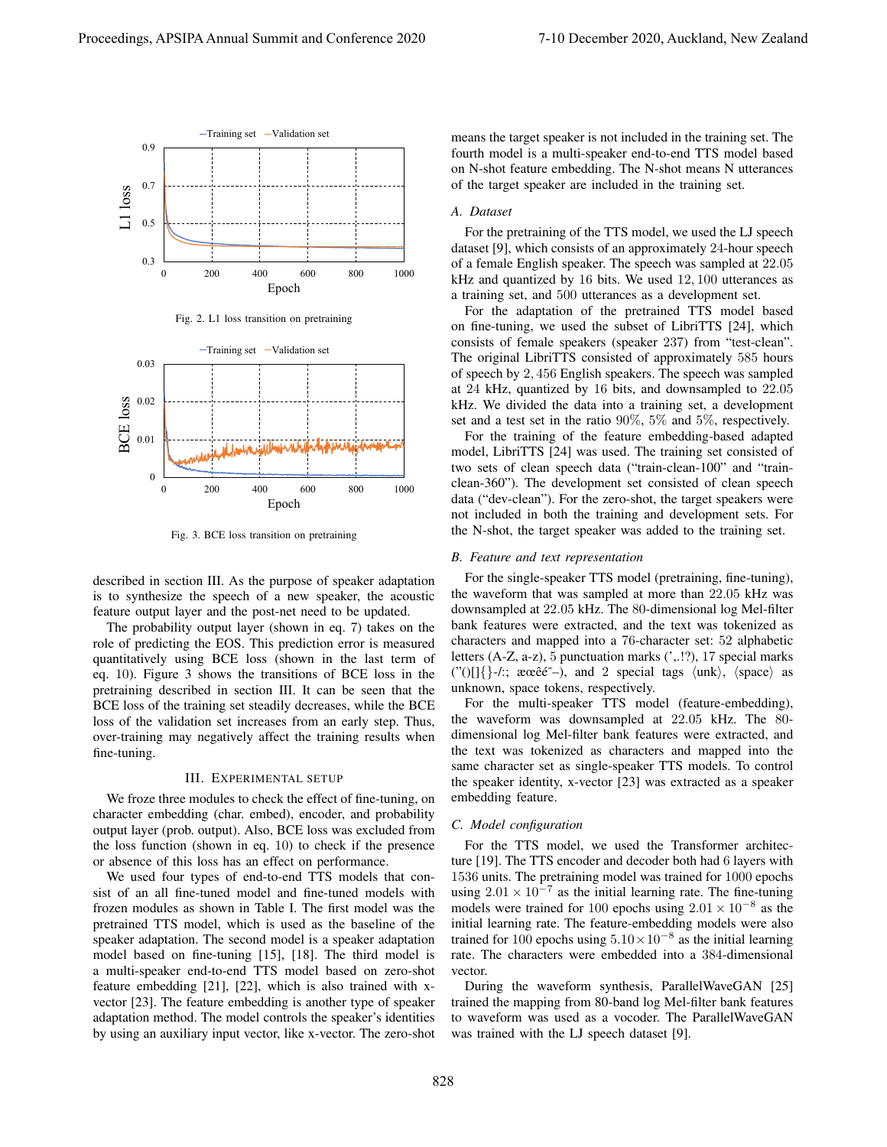

Fig. 2. L1 loss transition on pretraining



Fig. 3. BCE loss transition on pretraining

described in section III. As the purpose of speaker adaptation is to synthesize the speech of a new speaker, the acoustic feature output layer and the post-net need to be updated.

The probability output layer (shown in eq. 7) takes on the role of predicting the EOS. This prediction error is measured quantitatively using BCE loss (shown in the last term of eq. 10). Figure 3 shows the transitions of BCE loss in the pretraining described in section III. It can be seen that the BCE loss of the training set steadily decreases, while the BCE loss of the validation set increases from an early step. Thus, over-training may negatively affect the training results when fine-tuning.

#### III. EXPERIMENTAL SETUP

We froze three modules to check the effect of fine-tuning, on character embedding (char. embed), encoder, and probability output layer (prob. output). Also, BCE loss was excluded from the loss function (shown in eq. 10) to check if the presence or absence of this loss has an effect on performance.

We used four types of end-to-end TTS models that consist of an all fine-tuned model and fine-tuned models with frozen modules as shown in Table I. The first model was the pretrained TTS model, which is used as the baseline of the speaker adaptation. The second model is a speaker adaptation model based on fine-tuning [15], [18]. The third model is a multi-speaker end-to-end TTS model based on zero-shot feature embedding [21], [22], which is also trained with xvector [23]. The feature embedding is another type of speaker adaptation method. The model controls the speaker's identities by using an auxiliary input vector, like x-vector. The zero-shot means the target speaker is not included in the training set. The fourth model is a multi-speaker end-to-end TTS model based on N-shot feature embedding. The N-shot means N utterances of the target speaker are included in the training set.

# *A. Dataset*

For the pretraining of the TTS model, we used the LJ speech dataset [9], which consists of an approximately 24-hour speech of a female English speaker. The speech was sampled at 22*.*05 kHz and quantized by 16 bits. We used 12*,* 100 utterances as a training set, and 500 utterances as a development set.

For the adaptation of the pretrained TTS model based on fine-tuning, we used the subset of LibriTTS [24], which consists of female speakers (speaker 237) from "test-clean". The original LibriTTS consisted of approximately 585 hours of speech by 2*,* 456 English speakers. The speech was sampled at 24 kHz, quantized by 16 bits, and downsampled to 22*.*05 kHz. We divided the data into a training set, a development set and a test set in the ratio 90%, 5% and 5%, respectively.

For the training of the feature embedding-based adapted model, LibriTTS [24] was used. The training set consisted of two sets of clean speech data ("train-clean-100" and "trainclean-360"). The development set consisted of clean speech data ("dev-clean"). For the zero-shot, the target speakers were not included in both the training and development sets. For the N-shot, the target speaker was added to the training set.

#### *B. Feature and text representation*

For the single-speaker TTS model (pretraining, fine-tuning), the waveform that was sampled at more than 22*.*05 kHz was downsampled at 22*.*05 kHz. The 80-dimensional log Mel-filter bank features were extracted, and the text was tokenized as characters and mapped into a 76-character set: 52 alphabetic letters (A-Z, a-z), 5 punctuation marks (',.!?), 17 special marks ("()[]*{}*-/:; æœeˆe¯–), and ´ 2 special tags *⟨*unk*⟩*, *⟨*space*⟩* as unknown, space tokens, respectively.

For the multi-speaker TTS model (feature-embedding), the waveform was downsampled at 22*.*05 kHz. The 80 dimensional log Mel-filter bank features were extracted, and the text was tokenized as characters and mapped into the same character set as single-speaker TTS models. To control the speaker identity, x-vector [23] was extracted as a speaker embedding feature.

#### *C. Model configuration*

For the TTS model, we used the Transformer architecture [19]. The TTS encoder and decoder both had 6 layers with 1536 units. The pretraining model was trained for 1000 epochs using  $2.01 \times 10^{-7}$  as the initial learning rate. The fine-tuning models were trained for 100 epochs using 2*.*01 *×* 10*−*<sup>8</sup> as the initial learning rate. The feature-embedding models were also trained for 100 epochs using 5*.*10*×*10*−*<sup>8</sup> as the initial learning rate. The characters were embedded into a 384-dimensional vector.

During the waveform synthesis, ParallelWaveGAN [25] trained the mapping from 80-band log Mel-filter bank features to waveform was used as a vocoder. The ParallelWaveGAN was trained with the LJ speech dataset [9].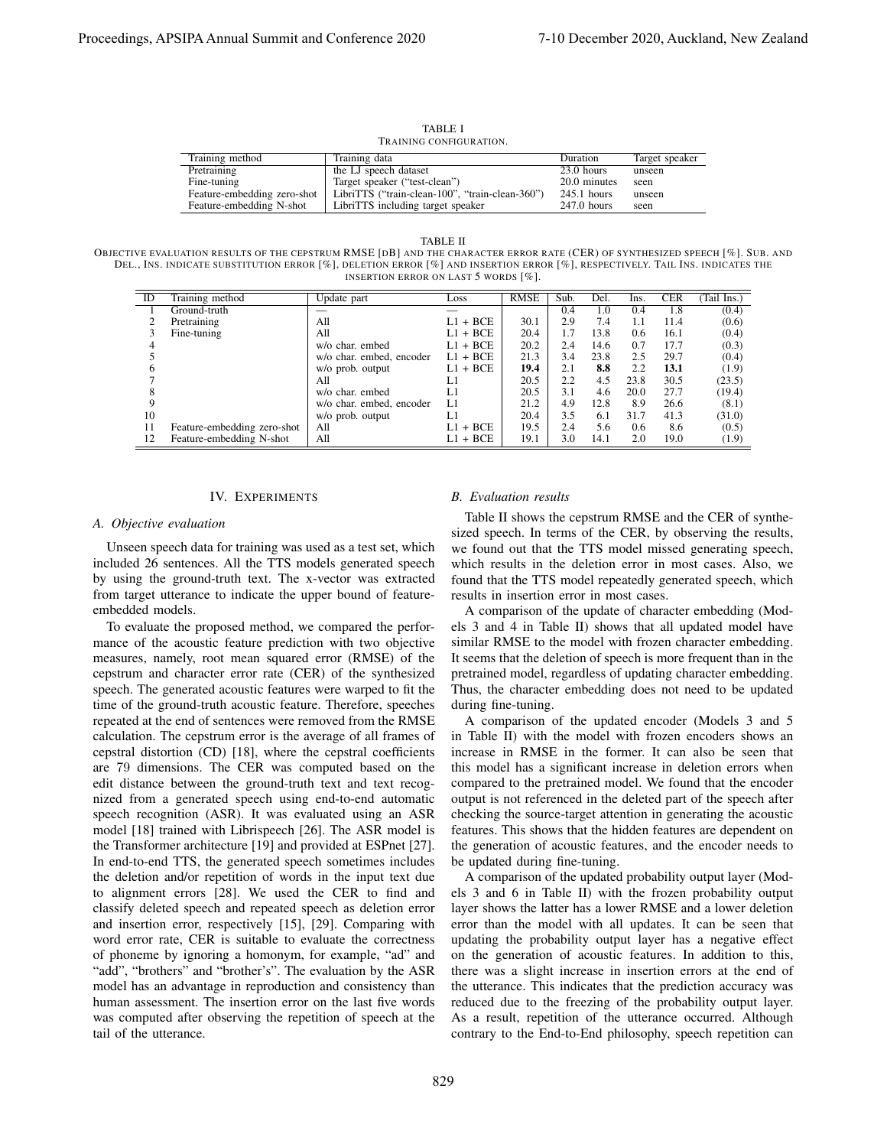TABLE I TRAINING CONFIGURATION.

| Training method             | Training data                                   | Duration      | Target speaker |
|-----------------------------|-------------------------------------------------|---------------|----------------|
| Pretraining                 | the LJ speech dataset                           | $23.0$ hours  | unseen         |
| Fine-tuning                 | Target speaker ("test-clean")                   | 20.0 minutes  | seen           |
| Feature-embedding zero-shot | LibriTTS ("train-clean-100", "train-clean-360") | $245.1$ hours | unseen         |
| Feature-embedding N-shot    | LibriTTS including target speaker               | $247.0$ hours | seen           |

TABLE II

OBJECTIVE EVALUATION RESULTS OF THE CEPSTRUM RMSE [DB] AND THE CHARACTER ERROR RATE (CER) OF SYNTHESIZED SPEECH [%]. SUB. AND DEL., INS. INDICATE SUBSTITUTION ERROR [%], DELETION ERROR [%] AND INSERTION ERROR [%], RESPECTIVELY. TAIL INS. INDICATES THE INSERTION ERROR ON LAST 5 WORDS [%].

| ID | Training method             | Update part              | Loss           | <b>RMSE</b> | Sub. | Del. | Ins. | <b>CER</b> | Tail Ins.) |
|----|-----------------------------|--------------------------|----------------|-------------|------|------|------|------------|------------|
|    | Ground-truth                |                          |                |             | 0.4  | 1.0  | 0.4  | 1.8        | (0.4)      |
|    | Pretraining                 | All                      | $L1 + BCE$     | 30.1        | 2.9  | 7.4  | 1.1  | 11.4       | (0.6)      |
|    | Fine-tuning                 | All                      | $+$ BCE<br>LI  | 20.4        | 1.7  | 13.8 | 0.6  | 16.1       | (0.4)      |
|    |                             | w/o char. embed          | $+$ BCE<br>L1. | 20.2        | 2.4  | 14.6 | 0.7  | 17.7       | (0.3)      |
|    |                             | w/o char. embed, encoder | $+$ BCE<br>L1. | 21.3        | 3.4  | 23.8 | 2.5  | 29.7       | (0.4)      |
|    |                             | w/o prob. output         | $+$ BCE<br>L1. | 19.4        | 2.1  | 8.8  | 2.2  | 13.1       | (1.9)      |
|    |                             | All                      | LI             | 20.5        | 2.2  | 4.5  | 23.8 | 30.5       | (23.5)     |
|    |                             | w/o char. embed          | L1             | 20.5        | 3.1  | 4.6  | 20.0 | 27.7       | (19.4)     |
|    |                             | w/o char. embed, encoder | L1             | 21.2        | 4.9  | 12.8 | 8.9  | 26.6       | (8.1)      |
| 10 |                             | w/o prob. output         | L1             | 20.4        | 3.5  | 6.1  | 31.7 | 41.3       | (31.0)     |
| 11 | Feature-embedding zero-shot | All                      | $+$ BCE<br>LI  | 19.5        | 2.4  | 5.6  | 0.6  | 8.6        | (0.5)      |
| 12 | Feature-embedding N-shot    | All                      | $L1 + BCE$     | 19.1        | 3.0  | 14.1 | 2.0  | 19.0       | (1.9)      |

## IV. EXPERIMENTS

## *A. Objective evaluation*

Unseen speech data for training was used as a test set, which included 26 sentences. All the TTS models generated speech by using the ground-truth text. The x-vector was extracted from target utterance to indicate the upper bound of featureembedded models.

To evaluate the proposed method, we compared the performance of the acoustic feature prediction with two objective measures, namely, root mean squared error (RMSE) of the cepstrum and character error rate (CER) of the synthesized speech. The generated acoustic features were warped to fit the time of the ground-truth acoustic feature. Therefore, speeches repeated at the end of sentences were removed from the RMSE calculation. The cepstrum error is the average of all frames of cepstral distortion (CD) [18], where the cepstral coefficients are 79 dimensions. The CER was computed based on the edit distance between the ground-truth text and text recognized from a generated speech using end-to-end automatic speech recognition (ASR). It was evaluated using an ASR model [18] trained with Librispeech [26]. The ASR model is the Transformer architecture [19] and provided at ESPnet [27]. In end-to-end TTS, the generated speech sometimes includes the deletion and/or repetition of words in the input text due to alignment errors [28]. We used the CER to find and classify deleted speech and repeated speech as deletion error and insertion error, respectively [15], [29]. Comparing with word error rate, CER is suitable to evaluate the correctness of phoneme by ignoring a homonym, for example, "ad" and "add", "brothers" and "brother's". The evaluation by the ASR model has an advantage in reproduction and consistency than human assessment. The insertion error on the last five words was computed after observing the repetition of speech at the tail of the utterance.

#### *B. Evaluation results*

Table II shows the cepstrum RMSE and the CER of synthesized speech. In terms of the CER, by observing the results, we found out that the TTS model missed generating speech, which results in the deletion error in most cases. Also, we found that the TTS model repeatedly generated speech, which results in insertion error in most cases.

A comparison of the update of character embedding (Models 3 and 4 in Table II) shows that all updated model have similar RMSE to the model with frozen character embedding. It seems that the deletion of speech is more frequent than in the pretrained model, regardless of updating character embedding. Thus, the character embedding does not need to be updated during fine-tuning.

A comparison of the updated encoder (Models 3 and 5 in Table II) with the model with frozen encoders shows an increase in RMSE in the former. It can also be seen that this model has a significant increase in deletion errors when compared to the pretrained model. We found that the encoder output is not referenced in the deleted part of the speech after checking the source-target attention in generating the acoustic features. This shows that the hidden features are dependent on the generation of acoustic features, and the encoder needs to be updated during fine-tuning.

A comparison of the updated probability output layer (Models 3 and 6 in Table II) with the frozen probability output layer shows the latter has a lower RMSE and a lower deletion error than the model with all updates. It can be seen that updating the probability output layer has a negative effect on the generation of acoustic features. In addition to this, there was a slight increase in insertion errors at the end of the utterance. This indicates that the prediction accuracy was reduced due to the freezing of the probability output layer. As a result, repetition of the utterance occurred. Although contrary to the End-to-End philosophy, speech repetition can